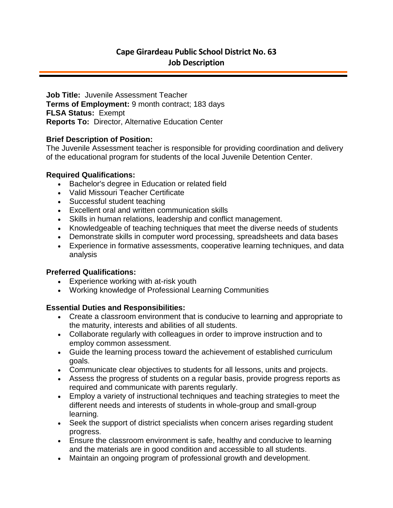# **Cape Girardeau Public School District No. 63 Job Description**

**Job Title:** Juvenile Assessment Teacher **Terms of Employment:** 9 month contract; 183 days **FLSA Status:** Exempt **Reports To:** Director, Alternative Education Center

### **Brief Description of Position:**

The Juvenile Assessment teacher is responsible for providing coordination and delivery of the educational program for students of the local Juvenile Detention Center.

### **Required Qualifications:**

- Bachelor's degree in Education or related field
- Valid Missouri Teacher Certificate
- Successful student teaching
- Excellent oral and written communication skills
- Skills in human relations, leadership and conflict management.
- Knowledgeable of teaching techniques that meet the diverse needs of students
- Demonstrate skills in computer word processing, spreadsheets and data bases
- Experience in formative assessments, cooperative learning techniques, and data analysis

# **Preferred Qualifications:**

- Experience working with at-risk youth
- Working knowledge of Professional Learning Communities

#### **Essential Duties and Responsibilities:**

- Create a classroom environment that is conducive to learning and appropriate to the maturity, interests and abilities of all students.
- Collaborate regularly with colleagues in order to improve instruction and to employ common assessment.
- Guide the learning process toward the achievement of established curriculum goals.
- Communicate clear objectives to students for all lessons, units and projects.
- Assess the progress of students on a regular basis, provide progress reports as required and communicate with parents regularly.
- Employ a variety of instructional techniques and teaching strategies to meet the different needs and interests of students in whole-group and small-group learning.
- Seek the support of district specialists when concern arises regarding student progress.
- Ensure the classroom environment is safe, healthy and conducive to learning and the materials are in good condition and accessible to all students.
- Maintain an ongoing program of professional growth and development.